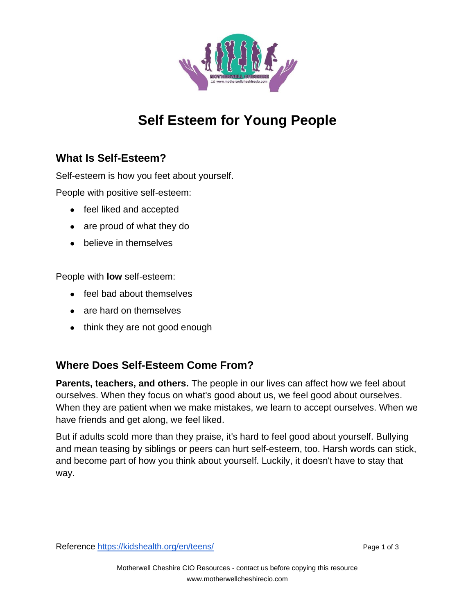

## **Self Esteem for Young People**

## **What Is Self-Esteem?**

Self-esteem is how you feet about yourself.

People with positive self-esteem:

- feel liked and accepted
- are proud of what they do
- believe in themselves

People with **low** self-esteem:

- feel bad about themselves
- are hard on themselves
- think they are not good enough

## **Where Does Self-Esteem Come From?**

**Parents, teachers, and others.** The people in our lives can affect how we feel about ourselves. When they focus on what's good about us, we feel good about ourselves. When they are patient when we make mistakes, we learn to accept ourselves. When we have friends and get along, we feel liked.

But if adults scold more than they praise, it's hard to feel good about yourself. Bullying and mean teasing by siblings or peers can hurt self-esteem, too. Harsh words can stick, and become part of how you think about yourself. Luckily, it doesn't have to stay that way.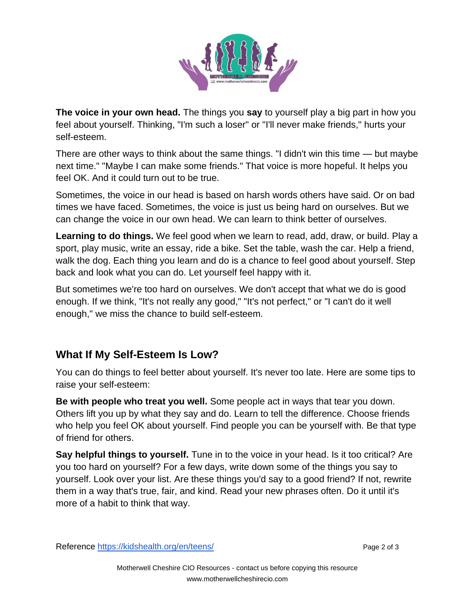

**The voice in your own head.** The things you **say** to yourself play a big part in how you feel about yourself. Thinking, "I'm such a loser" or "I'll never make friends," hurts your self-esteem.

There are other ways to think about the same things. "I didn't win this time — but maybe next time." "Maybe I can make some friends." That voice is more hopeful. It helps you feel OK. And it could turn out to be true.

Sometimes, the voice in our head is based on harsh words others have said. Or on bad times we have faced. Sometimes, the voice is just us being hard on ourselves. But we can change the voice in our own head. We can learn to think better of ourselves.

**Learning to do things.** We feel good when we learn to read, add, draw, or build. Play a sport, play music, write an essay, ride a bike. Set the table, wash the car. Help a friend, walk the dog. Each thing you learn and do is a chance to feel good about yourself. Step back and look what you can do. Let yourself feel happy with it.

But sometimes we're too hard on ourselves. We don't accept that what we do is good enough. If we think, "It's not really any good," "It's not perfect," or "I can't do it well enough," we miss the chance to build self-esteem.

## **What If My Self-Esteem Is Low?**

You can do things to feel better about yourself. It's never too late. Here are some tips to raise your self-esteem:

**Be with people who treat you well.** Some people act in ways that tear you down. Others lift you up by what they say and do. Learn to tell the difference. Choose friends who help you feel OK about yourself. Find people you can be yourself with. Be that type of friend for others.

**Say helpful things to yourself.** Tune in to the voice in your head. Is it too critical? Are you too hard on yourself? For a few days, write down some of the things you say to yourself. Look over your list. Are these things you'd say to a good friend? If not, rewrite them in a way that's true, fair, and kind. Read your new phrases often. Do it until it's more of a habit to think that way.

Reference<https://kidshealth.org/en/teens/> Page 2 of 3